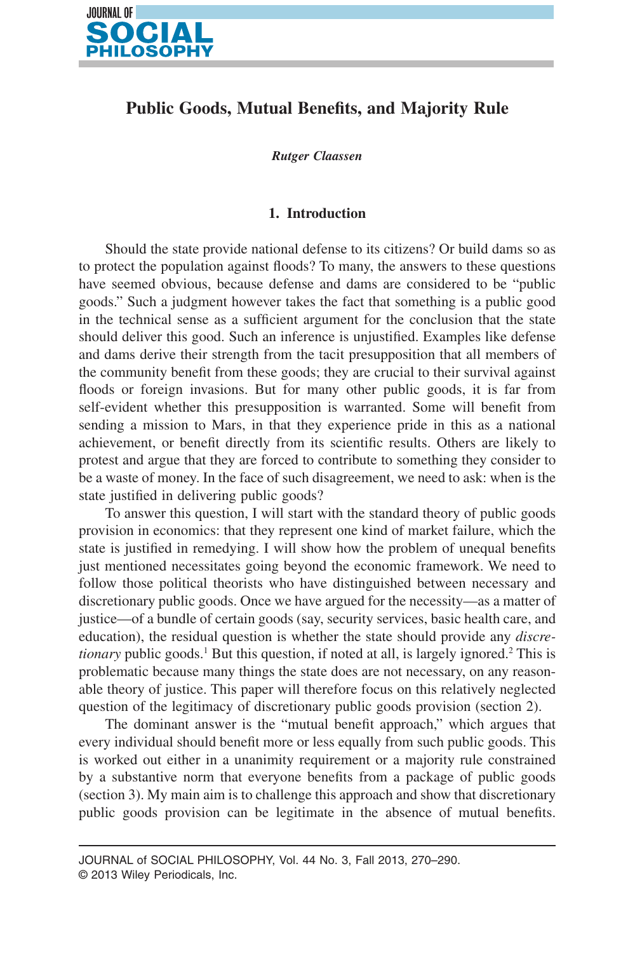

# **Public Goods, Mutual Benefits, and Majority Rule**

#### *Rutger Claassen*

## **1. Introduction**

Should the state provide national defense to its citizens? Or build dams so as to protect the population against floods? To many, the answers to these questions have seemed obvious, because defense and dams are considered to be "public goods." Such a judgment however takes the fact that something is a public good in the technical sense as a sufficient argument for the conclusion that the state should deliver this good. Such an inference is unjustified. Examples like defense and dams derive their strength from the tacit presupposition that all members of the community benefit from these goods; they are crucial to their survival against floods or foreign invasions. But for many other public goods, it is far from self-evident whether this presupposition is warranted. Some will benefit from sending a mission to Mars, in that they experience pride in this as a national achievement, or benefit directly from its scientific results. Others are likely to protest and argue that they are forced to contribute to something they consider to be a waste of money. In the face of such disagreement, we need to ask: when is the state justified in delivering public goods?

To answer this question, I will start with the standard theory of public goods provision in economics: that they represent one kind of market failure, which the state is justified in remedying. I will show how the problem of unequal benefits just mentioned necessitates going beyond the economic framework. We need to follow those political theorists who have distinguished between necessary and discretionary public goods. Once we have argued for the necessity—as a matter of justice—of a bundle of certain goods (say, security services, basic health care, and education), the residual question is whether the state should provide any *discretionary* public goods.<sup>1</sup> But this question, if noted at all, is largely ignored.<sup>2</sup> This is problematic because many things the state does are not necessary, on any reasonable theory of justice. This paper will therefore focus on this relatively neglected question of the legitimacy of discretionary public goods provision (section 2).

The dominant answer is the "mutual benefit approach," which argues that every individual should benefit more or less equally from such public goods. This is worked out either in a unanimity requirement or a majority rule constrained by a substantive norm that everyone benefits from a package of public goods (section 3). My main aim is to challenge this approach and show that discretionary public goods provision can be legitimate in the absence of mutual benefits.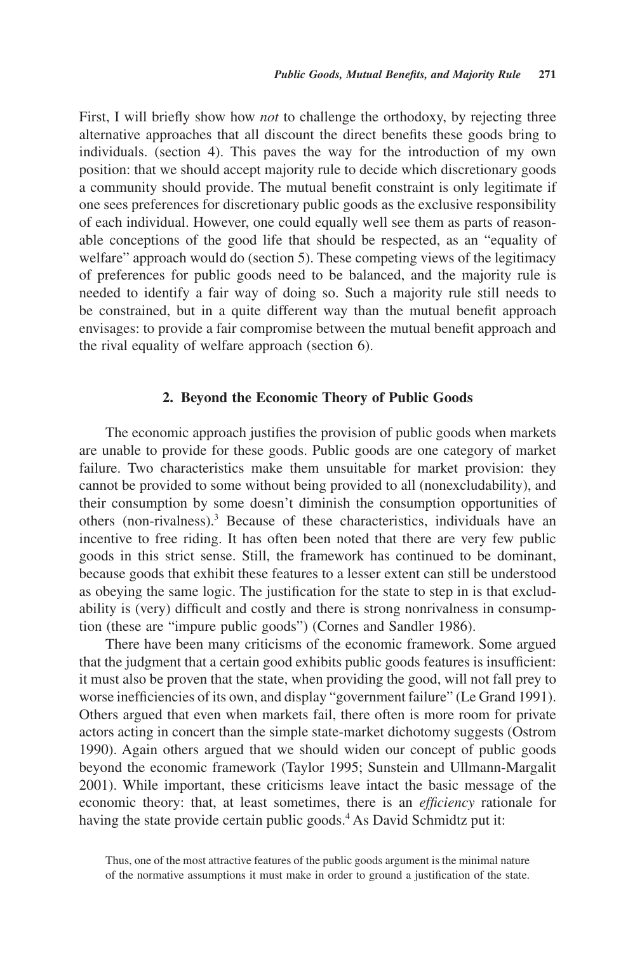First, I will briefly show how *not* to challenge the orthodoxy, by rejecting three alternative approaches that all discount the direct benefits these goods bring to individuals. (section 4). This paves the way for the introduction of my own position: that we should accept majority rule to decide which discretionary goods a community should provide. The mutual benefit constraint is only legitimate if one sees preferences for discretionary public goods as the exclusive responsibility of each individual. However, one could equally well see them as parts of reasonable conceptions of the good life that should be respected, as an "equality of welfare" approach would do (section 5). These competing views of the legitimacy of preferences for public goods need to be balanced, and the majority rule is needed to identify a fair way of doing so. Such a majority rule still needs to be constrained, but in a quite different way than the mutual benefit approach envisages: to provide a fair compromise between the mutual benefit approach and the rival equality of welfare approach (section 6).

# **2. Beyond the Economic Theory of Public Goods**

The economic approach justifies the provision of public goods when markets are unable to provide for these goods. Public goods are one category of market failure. Two characteristics make them unsuitable for market provision: they cannot be provided to some without being provided to all (nonexcludability), and their consumption by some doesn't diminish the consumption opportunities of others (non-rivalness).3 Because of these characteristics, individuals have an incentive to free riding. It has often been noted that there are very few public goods in this strict sense. Still, the framework has continued to be dominant, because goods that exhibit these features to a lesser extent can still be understood as obeying the same logic. The justification for the state to step in is that excludability is (very) difficult and costly and there is strong nonrivalness in consumption (these are "impure public goods") (Cornes and Sandler 1986).

There have been many criticisms of the economic framework. Some argued that the judgment that a certain good exhibits public goods features is insufficient: it must also be proven that the state, when providing the good, will not fall prey to worse inefficiencies of its own, and display "government failure" (Le Grand 1991). Others argued that even when markets fail, there often is more room for private actors acting in concert than the simple state-market dichotomy suggests (Ostrom 1990). Again others argued that we should widen our concept of public goods beyond the economic framework (Taylor 1995; Sunstein and Ullmann-Margalit 2001). While important, these criticisms leave intact the basic message of the economic theory: that, at least sometimes, there is an *efficiency* rationale for having the state provide certain public goods.<sup>4</sup> As David Schmidtz put it: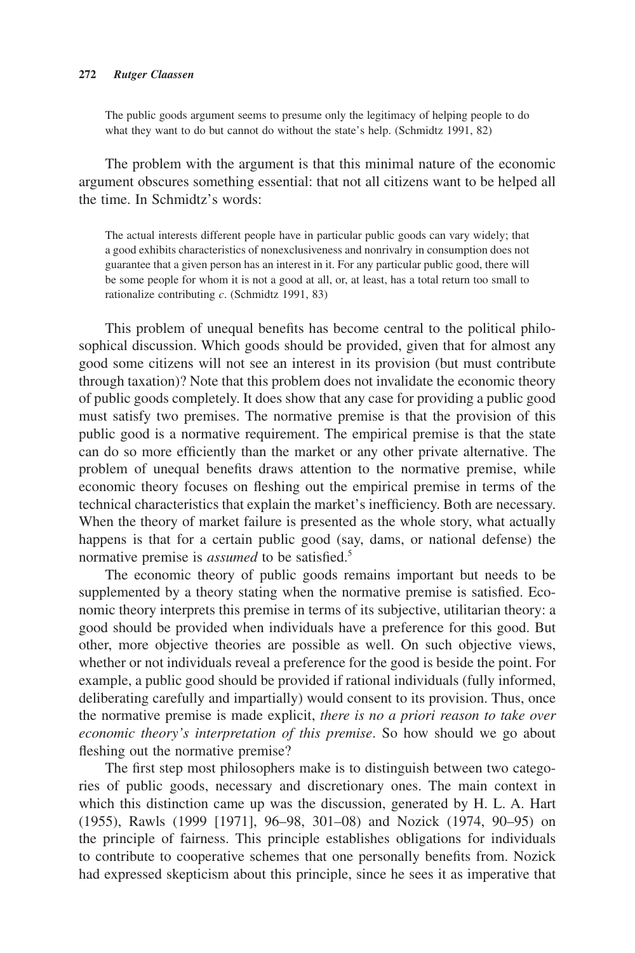# **272** *Rutger Claassen*

The public goods argument seems to presume only the legitimacy of helping people to do what they want to do but cannot do without the state's help. (Schmidtz 1991, 82)

The problem with the argument is that this minimal nature of the economic argument obscures something essential: that not all citizens want to be helped all the time. In Schmidtz's words:

The actual interests different people have in particular public goods can vary widely; that a good exhibits characteristics of nonexclusiveness and nonrivalry in consumption does not guarantee that a given person has an interest in it. For any particular public good, there will be some people for whom it is not a good at all, or, at least, has a total return too small to rationalize contributing *c*. (Schmidtz 1991, 83)

This problem of unequal benefits has become central to the political philosophical discussion. Which goods should be provided, given that for almost any good some citizens will not see an interest in its provision (but must contribute through taxation)? Note that this problem does not invalidate the economic theory of public goods completely. It does show that any case for providing a public good must satisfy two premises. The normative premise is that the provision of this public good is a normative requirement. The empirical premise is that the state can do so more efficiently than the market or any other private alternative. The problem of unequal benefits draws attention to the normative premise, while economic theory focuses on fleshing out the empirical premise in terms of the technical characteristics that explain the market's inefficiency. Both are necessary. When the theory of market failure is presented as the whole story, what actually happens is that for a certain public good (say, dams, or national defense) the normative premise is *assumed* to be satisfied.<sup>5</sup>

The economic theory of public goods remains important but needs to be supplemented by a theory stating when the normative premise is satisfied. Economic theory interprets this premise in terms of its subjective, utilitarian theory: a good should be provided when individuals have a preference for this good. But other, more objective theories are possible as well. On such objective views, whether or not individuals reveal a preference for the good is beside the point. For example, a public good should be provided if rational individuals (fully informed, deliberating carefully and impartially) would consent to its provision. Thus, once the normative premise is made explicit, *there is no a priori reason to take over economic theory's interpretation of this premise*. So how should we go about fleshing out the normative premise?

The first step most philosophers make is to distinguish between two categories of public goods, necessary and discretionary ones. The main context in which this distinction came up was the discussion, generated by H. L. A. Hart (1955), Rawls (1999 [1971], 96–98, 301–08) and Nozick (1974, 90–95) on the principle of fairness. This principle establishes obligations for individuals to contribute to cooperative schemes that one personally benefits from. Nozick had expressed skepticism about this principle, since he sees it as imperative that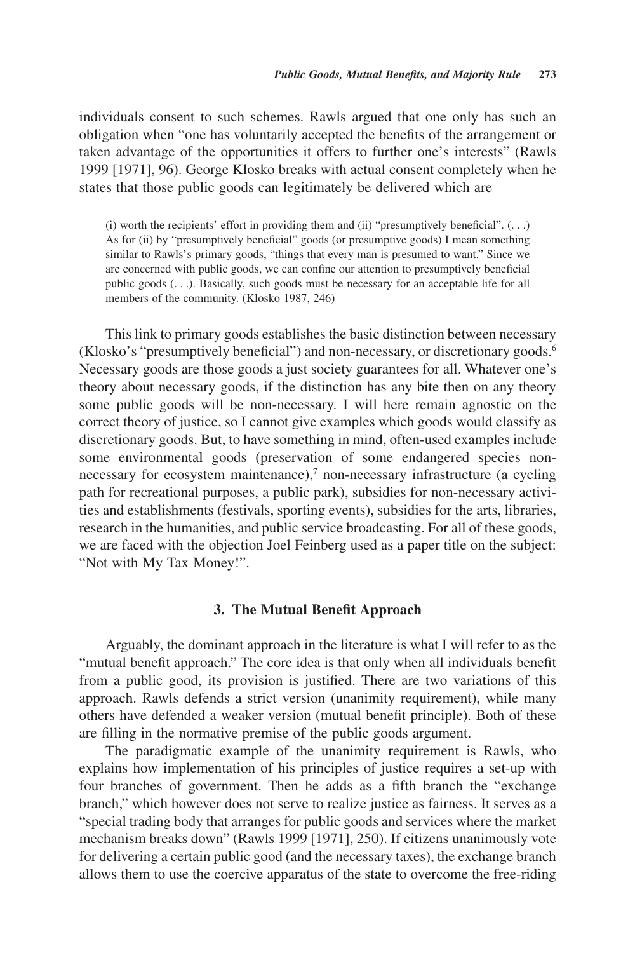individuals consent to such schemes. Rawls argued that one only has such an obligation when "one has voluntarily accepted the benefits of the arrangement or taken advantage of the opportunities it offers to further one's interests" (Rawls 1999 [1971], 96). George Klosko breaks with actual consent completely when he states that those public goods can legitimately be delivered which are

(i) worth the recipients' effort in providing them and (ii) "presumptively beneficial".  $(\ldots)$ As for (ii) by "presumptively beneficial" goods (or presumptive goods) I mean something similar to Rawls's primary goods, "things that every man is presumed to want." Since we are concerned with public goods, we can confine our attention to presumptively beneficial public goods (. . .). Basically, such goods must be necessary for an acceptable life for all members of the community. (Klosko 1987, 246)

This link to primary goods establishes the basic distinction between necessary (Klosko's "presumptively beneficial") and non-necessary, or discretionary goods.6 Necessary goods are those goods a just society guarantees for all. Whatever one's theory about necessary goods, if the distinction has any bite then on any theory some public goods will be non-necessary. I will here remain agnostic on the correct theory of justice, so I cannot give examples which goods would classify as discretionary goods. But, to have something in mind, often-used examples include some environmental goods (preservation of some endangered species nonnecessary for ecosystem maintenance), $\frac{7}{1}$  non-necessary infrastructure (a cycling path for recreational purposes, a public park), subsidies for non-necessary activities and establishments (festivals, sporting events), subsidies for the arts, libraries, research in the humanities, and public service broadcasting. For all of these goods, we are faced with the objection Joel Feinberg used as a paper title on the subject: "Not with My Tax Money!".

#### **3. The Mutual Benefit Approach**

Arguably, the dominant approach in the literature is what I will refer to as the "mutual benefit approach." The core idea is that only when all individuals benefit from a public good, its provision is justified. There are two variations of this approach. Rawls defends a strict version (unanimity requirement), while many others have defended a weaker version (mutual benefit principle). Both of these are filling in the normative premise of the public goods argument.

The paradigmatic example of the unanimity requirement is Rawls, who explains how implementation of his principles of justice requires a set-up with four branches of government. Then he adds as a fifth branch the "exchange branch," which however does not serve to realize justice as fairness. It serves as a "special trading body that arranges for public goods and services where the market mechanism breaks down" (Rawls 1999 [1971], 250). If citizens unanimously vote for delivering a certain public good (and the necessary taxes), the exchange branch allows them to use the coercive apparatus of the state to overcome the free-riding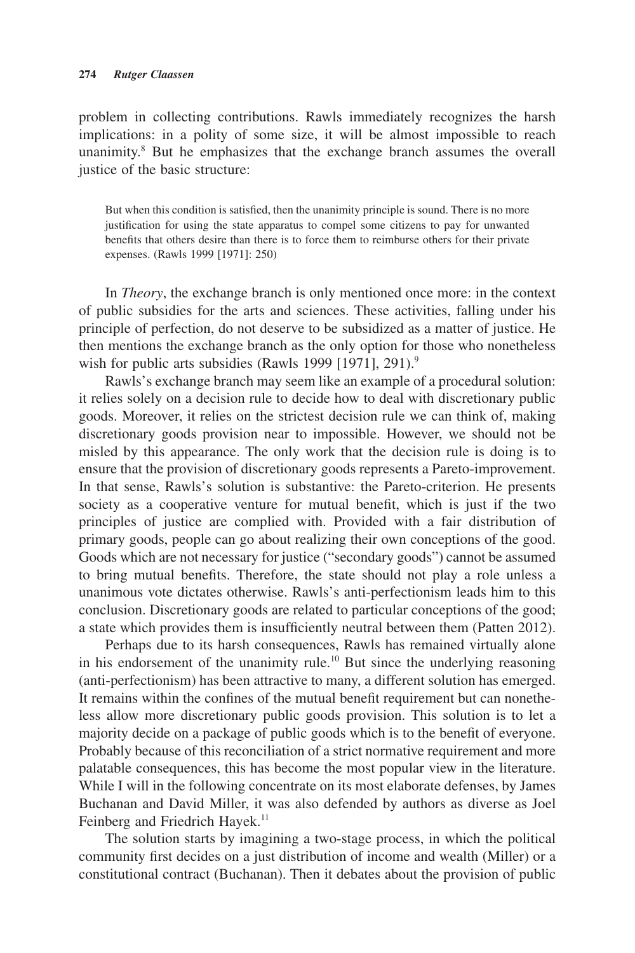problem in collecting contributions. Rawls immediately recognizes the harsh implications: in a polity of some size, it will be almost impossible to reach unanimity.8 But he emphasizes that the exchange branch assumes the overall justice of the basic structure:

But when this condition is satisfied, then the unanimity principle is sound. There is no more justification for using the state apparatus to compel some citizens to pay for unwanted benefits that others desire than there is to force them to reimburse others for their private expenses. (Rawls 1999 [1971]: 250)

In *Theory*, the exchange branch is only mentioned once more: in the context of public subsidies for the arts and sciences. These activities, falling under his principle of perfection, do not deserve to be subsidized as a matter of justice. He then mentions the exchange branch as the only option for those who nonetheless wish for public arts subsidies (Rawls 1999 [1971], 291).<sup>9</sup>

Rawls's exchange branch may seem like an example of a procedural solution: it relies solely on a decision rule to decide how to deal with discretionary public goods. Moreover, it relies on the strictest decision rule we can think of, making discretionary goods provision near to impossible. However, we should not be misled by this appearance. The only work that the decision rule is doing is to ensure that the provision of discretionary goods represents a Pareto-improvement. In that sense, Rawls's solution is substantive: the Pareto-criterion. He presents society as a cooperative venture for mutual benefit, which is just if the two principles of justice are complied with. Provided with a fair distribution of primary goods, people can go about realizing their own conceptions of the good. Goods which are not necessary for justice ("secondary goods") cannot be assumed to bring mutual benefits. Therefore, the state should not play a role unless a unanimous vote dictates otherwise. Rawls's anti-perfectionism leads him to this conclusion. Discretionary goods are related to particular conceptions of the good; a state which provides them is insufficiently neutral between them (Patten 2012).

Perhaps due to its harsh consequences, Rawls has remained virtually alone in his endorsement of the unanimity rule.<sup>10</sup> But since the underlying reasoning (anti-perfectionism) has been attractive to many, a different solution has emerged. It remains within the confines of the mutual benefit requirement but can nonetheless allow more discretionary public goods provision. This solution is to let a majority decide on a package of public goods which is to the benefit of everyone. Probably because of this reconciliation of a strict normative requirement and more palatable consequences, this has become the most popular view in the literature. While I will in the following concentrate on its most elaborate defenses, by James Buchanan and David Miller, it was also defended by authors as diverse as Joel Feinberg and Friedrich Hayek.<sup>11</sup>

The solution starts by imagining a two-stage process, in which the political community first decides on a just distribution of income and wealth (Miller) or a constitutional contract (Buchanan). Then it debates about the provision of public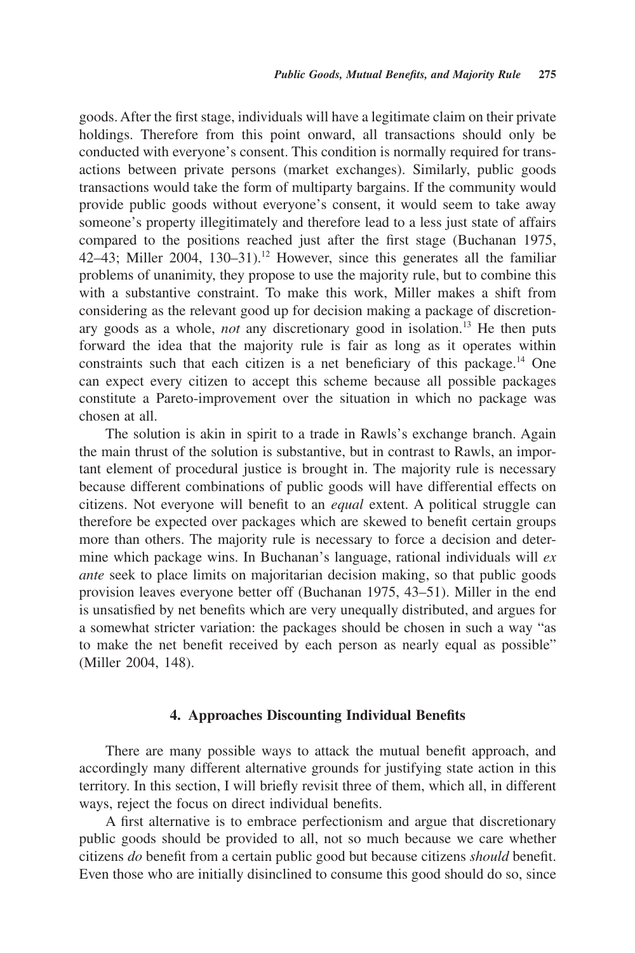goods. After the first stage, individuals will have a legitimate claim on their private holdings. Therefore from this point onward, all transactions should only be conducted with everyone's consent. This condition is normally required for transactions between private persons (market exchanges). Similarly, public goods transactions would take the form of multiparty bargains. If the community would provide public goods without everyone's consent, it would seem to take away someone's property illegitimately and therefore lead to a less just state of affairs compared to the positions reached just after the first stage (Buchanan 1975, 42–43; Miller 2004, 130–31).<sup>12</sup> However, since this generates all the familiar problems of unanimity, they propose to use the majority rule, but to combine this with a substantive constraint. To make this work, Miller makes a shift from considering as the relevant good up for decision making a package of discretionary goods as a whole, *not* any discretionary good in isolation.13 He then puts forward the idea that the majority rule is fair as long as it operates within constraints such that each citizen is a net beneficiary of this package.<sup>14</sup> One can expect every citizen to accept this scheme because all possible packages constitute a Pareto-improvement over the situation in which no package was chosen at all.

The solution is akin in spirit to a trade in Rawls's exchange branch. Again the main thrust of the solution is substantive, but in contrast to Rawls, an important element of procedural justice is brought in. The majority rule is necessary because different combinations of public goods will have differential effects on citizens. Not everyone will benefit to an *equal* extent. A political struggle can therefore be expected over packages which are skewed to benefit certain groups more than others. The majority rule is necessary to force a decision and determine which package wins. In Buchanan's language, rational individuals will *ex ante* seek to place limits on majoritarian decision making, so that public goods provision leaves everyone better off (Buchanan 1975, 43–51). Miller in the end is unsatisfied by net benefits which are very unequally distributed, and argues for a somewhat stricter variation: the packages should be chosen in such a way "as to make the net benefit received by each person as nearly equal as possible" (Miller 2004, 148).

## **4. Approaches Discounting Individual Benefits**

There are many possible ways to attack the mutual benefit approach, and accordingly many different alternative grounds for justifying state action in this territory. In this section, I will briefly revisit three of them, which all, in different ways, reject the focus on direct individual benefits.

A first alternative is to embrace perfectionism and argue that discretionary public goods should be provided to all, not so much because we care whether citizens *do* benefit from a certain public good but because citizens *should* benefit. Even those who are initially disinclined to consume this good should do so, since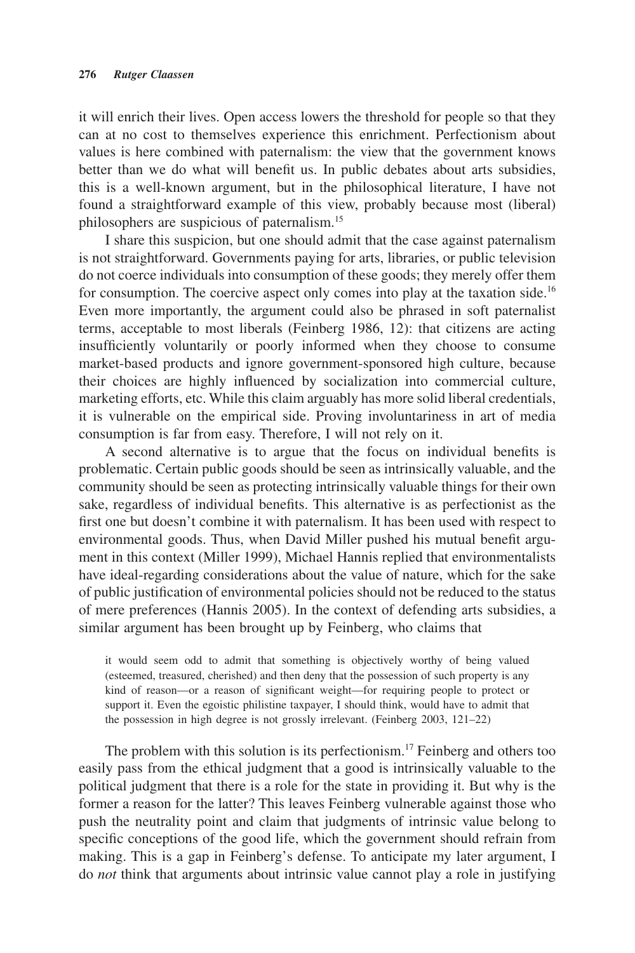it will enrich their lives. Open access lowers the threshold for people so that they can at no cost to themselves experience this enrichment. Perfectionism about values is here combined with paternalism: the view that the government knows better than we do what will benefit us. In public debates about arts subsidies, this is a well-known argument, but in the philosophical literature, I have not found a straightforward example of this view, probably because most (liberal) philosophers are suspicious of paternalism.15

I share this suspicion, but one should admit that the case against paternalism is not straightforward. Governments paying for arts, libraries, or public television do not coerce individuals into consumption of these goods; they merely offer them for consumption. The coercive aspect only comes into play at the taxation side.<sup>16</sup> Even more importantly, the argument could also be phrased in soft paternalist terms, acceptable to most liberals (Feinberg 1986, 12): that citizens are acting insufficiently voluntarily or poorly informed when they choose to consume market-based products and ignore government-sponsored high culture, because their choices are highly influenced by socialization into commercial culture, marketing efforts, etc. While this claim arguably has more solid liberal credentials, it is vulnerable on the empirical side. Proving involuntariness in art of media consumption is far from easy. Therefore, I will not rely on it.

A second alternative is to argue that the focus on individual benefits is problematic. Certain public goods should be seen as intrinsically valuable, and the community should be seen as protecting intrinsically valuable things for their own sake, regardless of individual benefits. This alternative is as perfectionist as the first one but doesn't combine it with paternalism. It has been used with respect to environmental goods. Thus, when David Miller pushed his mutual benefit argument in this context (Miller 1999), Michael Hannis replied that environmentalists have ideal-regarding considerations about the value of nature, which for the sake of public justification of environmental policies should not be reduced to the status of mere preferences (Hannis 2005). In the context of defending arts subsidies, a similar argument has been brought up by Feinberg, who claims that

it would seem odd to admit that something is objectively worthy of being valued (esteemed, treasured, cherished) and then deny that the possession of such property is any kind of reason—or a reason of significant weight—for requiring people to protect or support it. Even the egoistic philistine taxpayer, I should think, would have to admit that the possession in high degree is not grossly irrelevant. (Feinberg 2003, 121–22)

The problem with this solution is its perfectionism.17 Feinberg and others too easily pass from the ethical judgment that a good is intrinsically valuable to the political judgment that there is a role for the state in providing it. But why is the former a reason for the latter? This leaves Feinberg vulnerable against those who push the neutrality point and claim that judgments of intrinsic value belong to specific conceptions of the good life, which the government should refrain from making. This is a gap in Feinberg's defense. To anticipate my later argument, I do *not* think that arguments about intrinsic value cannot play a role in justifying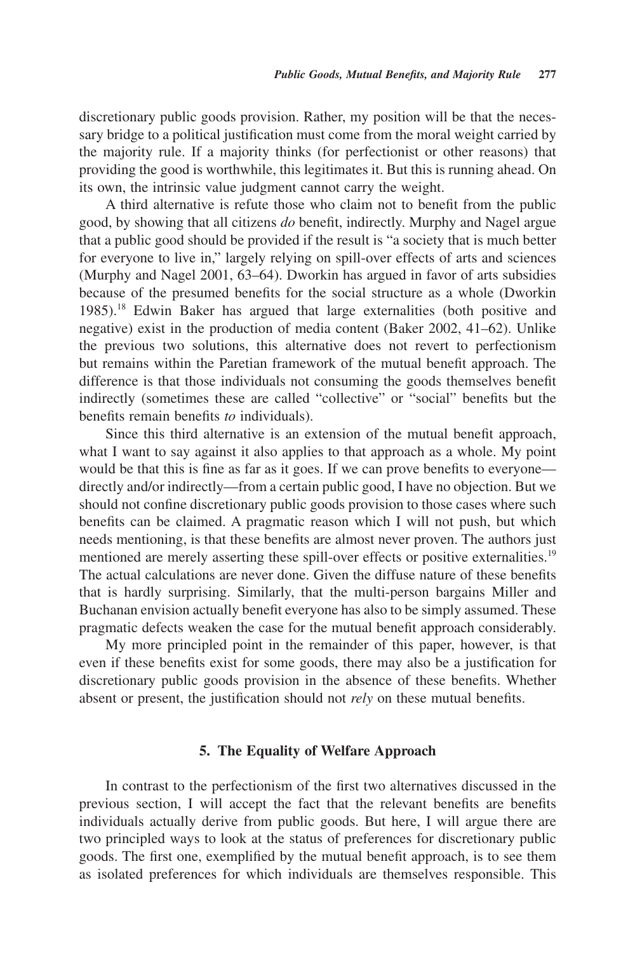discretionary public goods provision. Rather, my position will be that the necessary bridge to a political justification must come from the moral weight carried by the majority rule. If a majority thinks (for perfectionist or other reasons) that providing the good is worthwhile, this legitimates it. But this is running ahead. On its own, the intrinsic value judgment cannot carry the weight.

A third alternative is refute those who claim not to benefit from the public good, by showing that all citizens *do* benefit, indirectly. Murphy and Nagel argue that a public good should be provided if the result is "a society that is much better for everyone to live in," largely relying on spill-over effects of arts and sciences (Murphy and Nagel 2001, 63–64). Dworkin has argued in favor of arts subsidies because of the presumed benefits for the social structure as a whole (Dworkin 1985).18 Edwin Baker has argued that large externalities (both positive and negative) exist in the production of media content (Baker 2002, 41–62). Unlike the previous two solutions, this alternative does not revert to perfectionism but remains within the Paretian framework of the mutual benefit approach. The difference is that those individuals not consuming the goods themselves benefit indirectly (sometimes these are called "collective" or "social" benefits but the benefits remain benefits *to* individuals).

Since this third alternative is an extension of the mutual benefit approach, what I want to say against it also applies to that approach as a whole. My point would be that this is fine as far as it goes. If we can prove benefits to everyone directly and/or indirectly—from a certain public good, I have no objection. But we should not confine discretionary public goods provision to those cases where such benefits can be claimed. A pragmatic reason which I will not push, but which needs mentioning, is that these benefits are almost never proven. The authors just mentioned are merely asserting these spill-over effects or positive externalities.<sup>19</sup> The actual calculations are never done. Given the diffuse nature of these benefits that is hardly surprising. Similarly, that the multi-person bargains Miller and Buchanan envision actually benefit everyone has also to be simply assumed. These pragmatic defects weaken the case for the mutual benefit approach considerably.

My more principled point in the remainder of this paper, however, is that even if these benefits exist for some goods, there may also be a justification for discretionary public goods provision in the absence of these benefits. Whether absent or present, the justification should not *rely* on these mutual benefits.

#### **5. The Equality of Welfare Approach**

In contrast to the perfectionism of the first two alternatives discussed in the previous section, I will accept the fact that the relevant benefits are benefits individuals actually derive from public goods. But here, I will argue there are two principled ways to look at the status of preferences for discretionary public goods. The first one, exemplified by the mutual benefit approach, is to see them as isolated preferences for which individuals are themselves responsible. This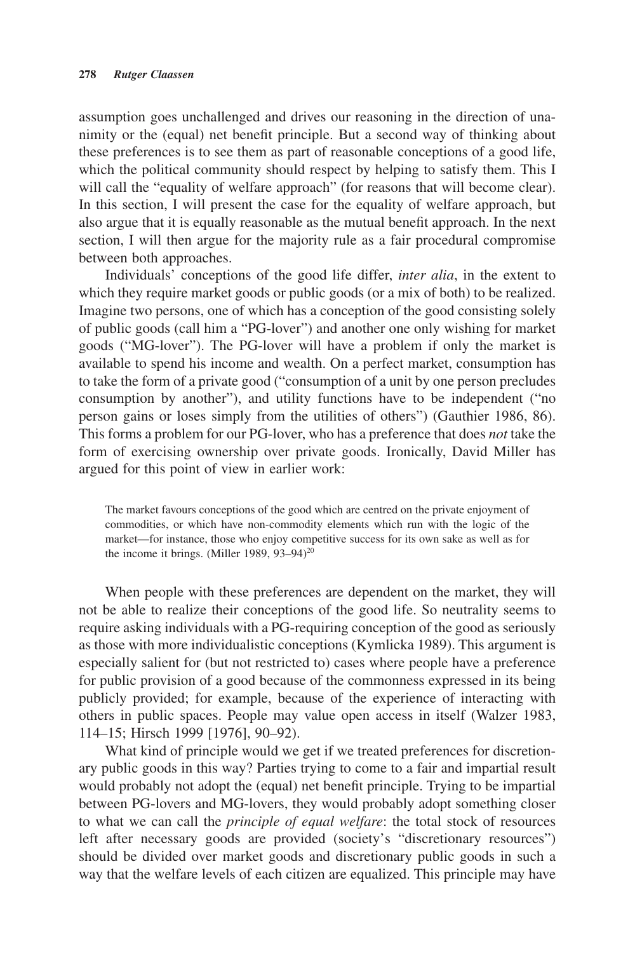assumption goes unchallenged and drives our reasoning in the direction of unanimity or the (equal) net benefit principle. But a second way of thinking about these preferences is to see them as part of reasonable conceptions of a good life, which the political community should respect by helping to satisfy them. This I will call the "equality of welfare approach" (for reasons that will become clear). In this section, I will present the case for the equality of welfare approach, but also argue that it is equally reasonable as the mutual benefit approach. In the next section, I will then argue for the majority rule as a fair procedural compromise between both approaches.

Individuals' conceptions of the good life differ, *inter alia*, in the extent to which they require market goods or public goods (or a mix of both) to be realized. Imagine two persons, one of which has a conception of the good consisting solely of public goods (call him a "PG-lover") and another one only wishing for market goods ("MG-lover"). The PG-lover will have a problem if only the market is available to spend his income and wealth. On a perfect market, consumption has to take the form of a private good ("consumption of a unit by one person precludes consumption by another"), and utility functions have to be independent ("no person gains or loses simply from the utilities of others") (Gauthier 1986, 86). This forms a problem for our PG-lover, who has a preference that does *not* take the form of exercising ownership over private goods. Ironically, David Miller has argued for this point of view in earlier work:

The market favours conceptions of the good which are centred on the private enjoyment of commodities, or which have non-commodity elements which run with the logic of the market—for instance, those who enjoy competitive success for its own sake as well as for the income it brings. (Miller 1989,  $93-94$ )<sup>20</sup>

When people with these preferences are dependent on the market, they will not be able to realize their conceptions of the good life. So neutrality seems to require asking individuals with a PG-requiring conception of the good as seriously as those with more individualistic conceptions (Kymlicka 1989). This argument is especially salient for (but not restricted to) cases where people have a preference for public provision of a good because of the commonness expressed in its being publicly provided; for example, because of the experience of interacting with others in public spaces. People may value open access in itself (Walzer 1983, 114–15; Hirsch 1999 [1976], 90–92).

What kind of principle would we get if we treated preferences for discretionary public goods in this way? Parties trying to come to a fair and impartial result would probably not adopt the (equal) net benefit principle. Trying to be impartial between PG-lovers and MG-lovers, they would probably adopt something closer to what we can call the *principle of equal welfare*: the total stock of resources left after necessary goods are provided (society's "discretionary resources") should be divided over market goods and discretionary public goods in such a way that the welfare levels of each citizen are equalized. This principle may have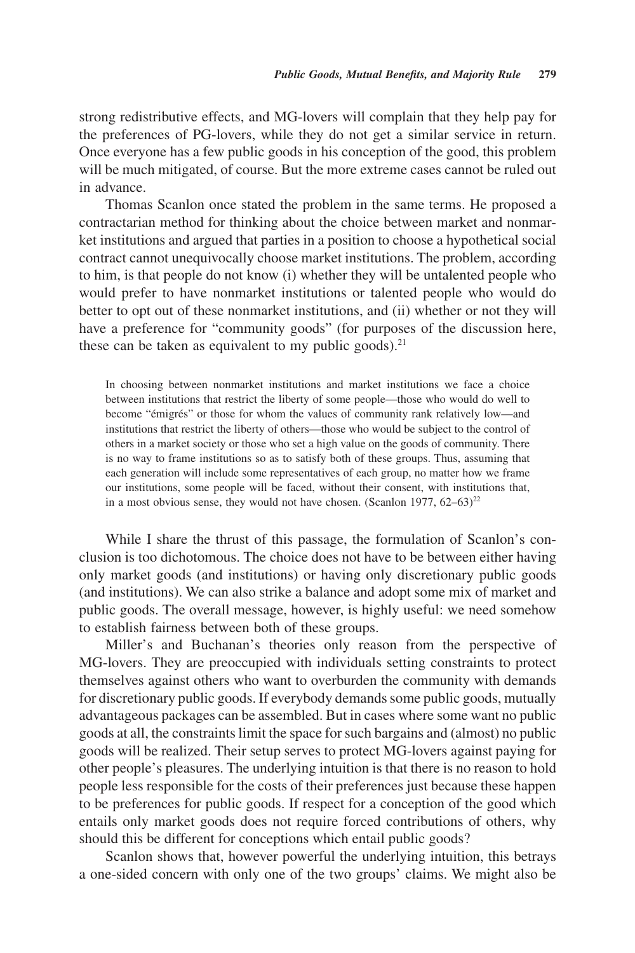strong redistributive effects, and MG-lovers will complain that they help pay for the preferences of PG-lovers, while they do not get a similar service in return. Once everyone has a few public goods in his conception of the good, this problem will be much mitigated, of course. But the more extreme cases cannot be ruled out in advance.

Thomas Scanlon once stated the problem in the same terms. He proposed a contractarian method for thinking about the choice between market and nonmarket institutions and argued that parties in a position to choose a hypothetical social contract cannot unequivocally choose market institutions. The problem, according to him, is that people do not know (i) whether they will be untalented people who would prefer to have nonmarket institutions or talented people who would do better to opt out of these nonmarket institutions, and (ii) whether or not they will have a preference for "community goods" (for purposes of the discussion here, these can be taken as equivalent to my public goods).<sup>21</sup>

In choosing between nonmarket institutions and market institutions we face a choice between institutions that restrict the liberty of some people—those who would do well to become "émigrés" or those for whom the values of community rank relatively low—and institutions that restrict the liberty of others—those who would be subject to the control of others in a market society or those who set a high value on the goods of community. There is no way to frame institutions so as to satisfy both of these groups. Thus, assuming that each generation will include some representatives of each group, no matter how we frame our institutions, some people will be faced, without their consent, with institutions that, in a most obvious sense, they would not have chosen. (Scanlon 1977,  $62-63$ )<sup>22</sup>

While I share the thrust of this passage, the formulation of Scanlon's conclusion is too dichotomous. The choice does not have to be between either having only market goods (and institutions) or having only discretionary public goods (and institutions). We can also strike a balance and adopt some mix of market and public goods. The overall message, however, is highly useful: we need somehow to establish fairness between both of these groups.

Miller's and Buchanan's theories only reason from the perspective of MG-lovers. They are preoccupied with individuals setting constraints to protect themselves against others who want to overburden the community with demands for discretionary public goods. If everybody demands some public goods, mutually advantageous packages can be assembled. But in cases where some want no public goods at all, the constraints limit the space for such bargains and (almost) no public goods will be realized. Their setup serves to protect MG-lovers against paying for other people's pleasures. The underlying intuition is that there is no reason to hold people less responsible for the costs of their preferences just because these happen to be preferences for public goods. If respect for a conception of the good which entails only market goods does not require forced contributions of others, why should this be different for conceptions which entail public goods?

Scanlon shows that, however powerful the underlying intuition, this betrays a one-sided concern with only one of the two groups' claims. We might also be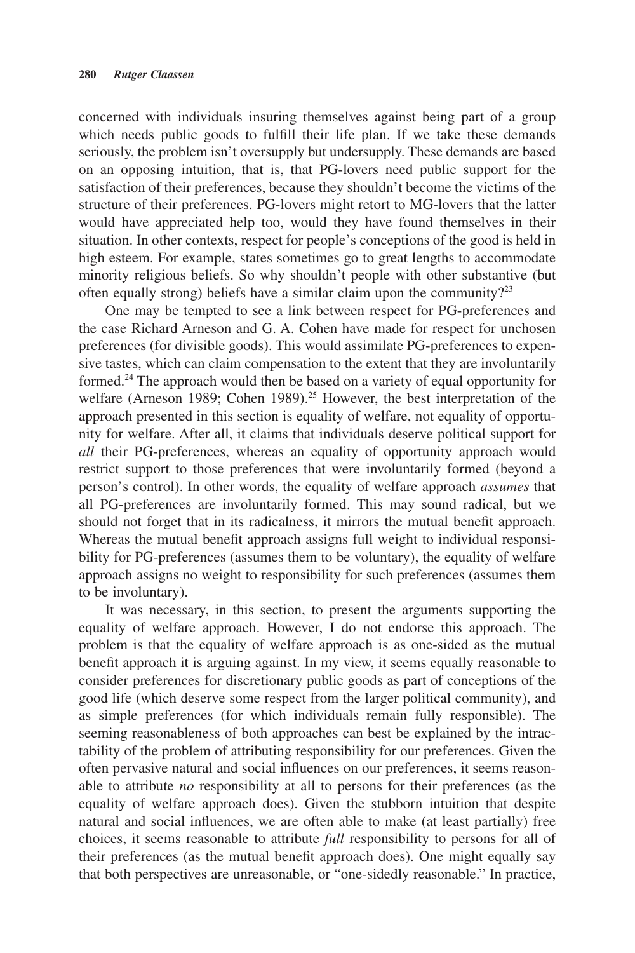concerned with individuals insuring themselves against being part of a group which needs public goods to fulfill their life plan. If we take these demands seriously, the problem isn't oversupply but undersupply. These demands are based on an opposing intuition, that is, that PG-lovers need public support for the satisfaction of their preferences, because they shouldn't become the victims of the structure of their preferences. PG-lovers might retort to MG-lovers that the latter would have appreciated help too, would they have found themselves in their situation. In other contexts, respect for people's conceptions of the good is held in high esteem. For example, states sometimes go to great lengths to accommodate minority religious beliefs. So why shouldn't people with other substantive (but often equally strong) beliefs have a similar claim upon the community?<sup>23</sup>

One may be tempted to see a link between respect for PG-preferences and the case Richard Arneson and G. A. Cohen have made for respect for unchosen preferences (for divisible goods). This would assimilate PG-preferences to expensive tastes, which can claim compensation to the extent that they are involuntarily formed.24 The approach would then be based on a variety of equal opportunity for welfare (Arneson 1989; Cohen 1989).<sup>25</sup> However, the best interpretation of the approach presented in this section is equality of welfare, not equality of opportunity for welfare. After all, it claims that individuals deserve political support for *all* their PG-preferences, whereas an equality of opportunity approach would restrict support to those preferences that were involuntarily formed (beyond a person's control). In other words, the equality of welfare approach *assumes* that all PG-preferences are involuntarily formed. This may sound radical, but we should not forget that in its radicalness, it mirrors the mutual benefit approach. Whereas the mutual benefit approach assigns full weight to individual responsibility for PG-preferences (assumes them to be voluntary), the equality of welfare approach assigns no weight to responsibility for such preferences (assumes them to be involuntary).

It was necessary, in this section, to present the arguments supporting the equality of welfare approach. However, I do not endorse this approach. The problem is that the equality of welfare approach is as one-sided as the mutual benefit approach it is arguing against. In my view, it seems equally reasonable to consider preferences for discretionary public goods as part of conceptions of the good life (which deserve some respect from the larger political community), and as simple preferences (for which individuals remain fully responsible). The seeming reasonableness of both approaches can best be explained by the intractability of the problem of attributing responsibility for our preferences. Given the often pervasive natural and social influences on our preferences, it seems reasonable to attribute *no* responsibility at all to persons for their preferences (as the equality of welfare approach does). Given the stubborn intuition that despite natural and social influences, we are often able to make (at least partially) free choices, it seems reasonable to attribute *full* responsibility to persons for all of their preferences (as the mutual benefit approach does). One might equally say that both perspectives are unreasonable, or "one-sidedly reasonable." In practice,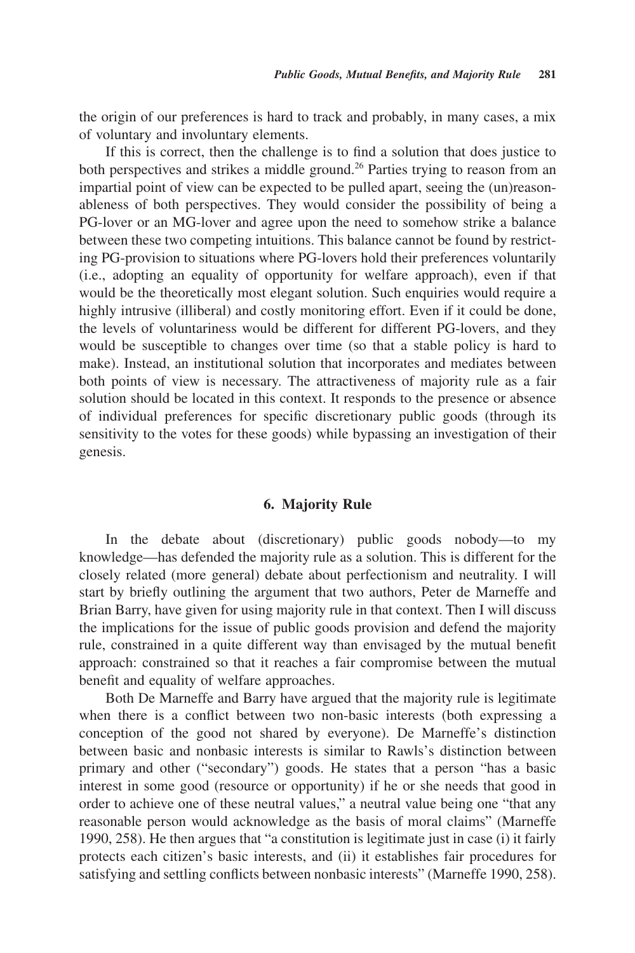the origin of our preferences is hard to track and probably, in many cases, a mix of voluntary and involuntary elements.

If this is correct, then the challenge is to find a solution that does justice to both perspectives and strikes a middle ground.<sup>26</sup> Parties trying to reason from an impartial point of view can be expected to be pulled apart, seeing the (un)reasonableness of both perspectives. They would consider the possibility of being a PG-lover or an MG-lover and agree upon the need to somehow strike a balance between these two competing intuitions. This balance cannot be found by restricting PG-provision to situations where PG-lovers hold their preferences voluntarily (i.e., adopting an equality of opportunity for welfare approach), even if that would be the theoretically most elegant solution. Such enquiries would require a highly intrusive (illiberal) and costly monitoring effort. Even if it could be done, the levels of voluntariness would be different for different PG-lovers, and they would be susceptible to changes over time (so that a stable policy is hard to make). Instead, an institutional solution that incorporates and mediates between both points of view is necessary. The attractiveness of majority rule as a fair solution should be located in this context. It responds to the presence or absence of individual preferences for specific discretionary public goods (through its sensitivity to the votes for these goods) while bypassing an investigation of their genesis.

#### **6. Majority Rule**

In the debate about (discretionary) public goods nobody—to my knowledge—has defended the majority rule as a solution. This is different for the closely related (more general) debate about perfectionism and neutrality. I will start by briefly outlining the argument that two authors, Peter de Marneffe and Brian Barry, have given for using majority rule in that context. Then I will discuss the implications for the issue of public goods provision and defend the majority rule, constrained in a quite different way than envisaged by the mutual benefit approach: constrained so that it reaches a fair compromise between the mutual benefit and equality of welfare approaches.

Both De Marneffe and Barry have argued that the majority rule is legitimate when there is a conflict between two non-basic interests (both expressing a conception of the good not shared by everyone). De Marneffe's distinction between basic and nonbasic interests is similar to Rawls's distinction between primary and other ("secondary") goods. He states that a person "has a basic interest in some good (resource or opportunity) if he or she needs that good in order to achieve one of these neutral values," a neutral value being one "that any reasonable person would acknowledge as the basis of moral claims" (Marneffe 1990, 258). He then argues that "a constitution is legitimate just in case (i) it fairly protects each citizen's basic interests, and (ii) it establishes fair procedures for satisfying and settling conflicts between nonbasic interests" (Marneffe 1990, 258).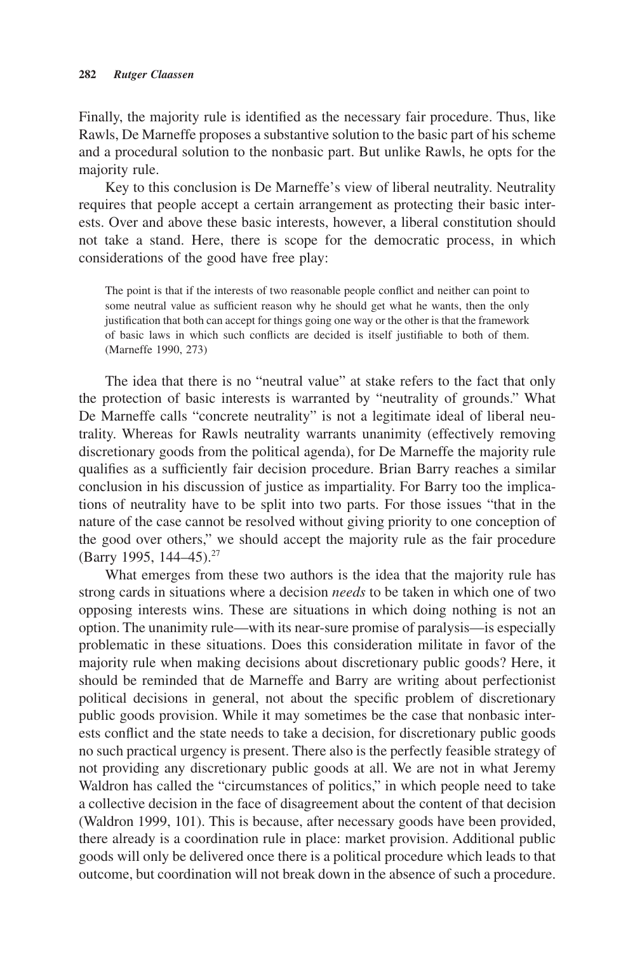Finally, the majority rule is identified as the necessary fair procedure. Thus, like Rawls, De Marneffe proposes a substantive solution to the basic part of his scheme and a procedural solution to the nonbasic part. But unlike Rawls, he opts for the majority rule.

Key to this conclusion is De Marneffe's view of liberal neutrality. Neutrality requires that people accept a certain arrangement as protecting their basic interests. Over and above these basic interests, however, a liberal constitution should not take a stand. Here, there is scope for the democratic process, in which considerations of the good have free play:

The point is that if the interests of two reasonable people conflict and neither can point to some neutral value as sufficient reason why he should get what he wants, then the only justification that both can accept for things going one way or the other is that the framework of basic laws in which such conflicts are decided is itself justifiable to both of them. (Marneffe 1990, 273)

The idea that there is no "neutral value" at stake refers to the fact that only the protection of basic interests is warranted by "neutrality of grounds." What De Marneffe calls "concrete neutrality" is not a legitimate ideal of liberal neutrality. Whereas for Rawls neutrality warrants unanimity (effectively removing discretionary goods from the political agenda), for De Marneffe the majority rule qualifies as a sufficiently fair decision procedure. Brian Barry reaches a similar conclusion in his discussion of justice as impartiality. For Barry too the implications of neutrality have to be split into two parts. For those issues "that in the nature of the case cannot be resolved without giving priority to one conception of the good over others," we should accept the majority rule as the fair procedure (Barry 1995, 144–45).<sup>27</sup>

What emerges from these two authors is the idea that the majority rule has strong cards in situations where a decision *needs* to be taken in which one of two opposing interests wins. These are situations in which doing nothing is not an option. The unanimity rule—with its near-sure promise of paralysis—is especially problematic in these situations. Does this consideration militate in favor of the majority rule when making decisions about discretionary public goods? Here, it should be reminded that de Marneffe and Barry are writing about perfectionist political decisions in general, not about the specific problem of discretionary public goods provision. While it may sometimes be the case that nonbasic interests conflict and the state needs to take a decision, for discretionary public goods no such practical urgency is present. There also is the perfectly feasible strategy of not providing any discretionary public goods at all. We are not in what Jeremy Waldron has called the "circumstances of politics," in which people need to take a collective decision in the face of disagreement about the content of that decision (Waldron 1999, 101). This is because, after necessary goods have been provided, there already is a coordination rule in place: market provision. Additional public goods will only be delivered once there is a political procedure which leads to that outcome, but coordination will not break down in the absence of such a procedure.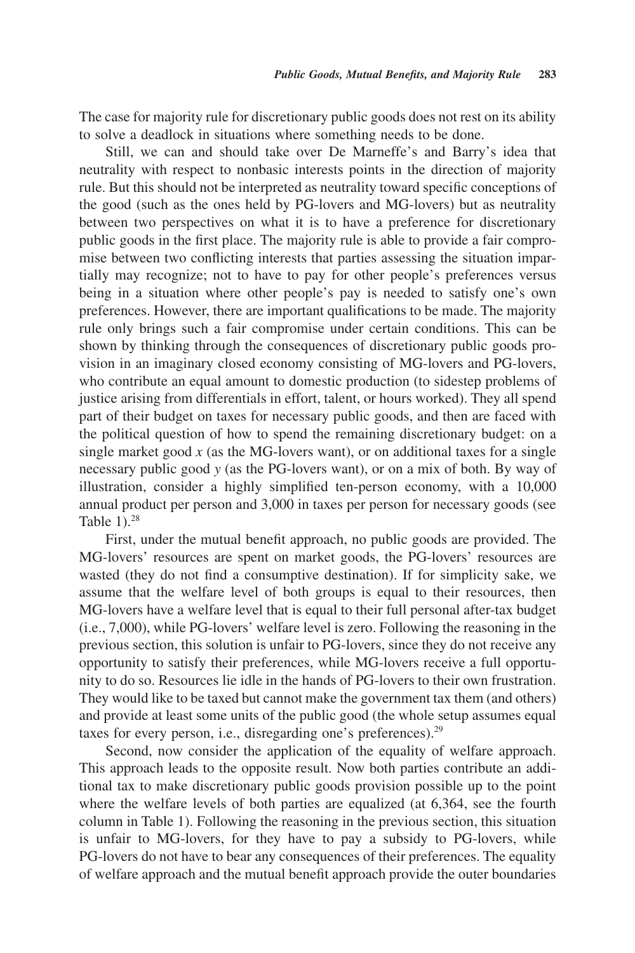The case for majority rule for discretionary public goods does not rest on its ability to solve a deadlock in situations where something needs to be done.

Still, we can and should take over De Marneffe's and Barry's idea that neutrality with respect to nonbasic interests points in the direction of majority rule. But this should not be interpreted as neutrality toward specific conceptions of the good (such as the ones held by PG-lovers and MG-lovers) but as neutrality between two perspectives on what it is to have a preference for discretionary public goods in the first place. The majority rule is able to provide a fair compromise between two conflicting interests that parties assessing the situation impartially may recognize; not to have to pay for other people's preferences versus being in a situation where other people's pay is needed to satisfy one's own preferences. However, there are important qualifications to be made. The majority rule only brings such a fair compromise under certain conditions. This can be shown by thinking through the consequences of discretionary public goods provision in an imaginary closed economy consisting of MG-lovers and PG-lovers, who contribute an equal amount to domestic production (to sidestep problems of justice arising from differentials in effort, talent, or hours worked). They all spend part of their budget on taxes for necessary public goods, and then are faced with the political question of how to spend the remaining discretionary budget: on a single market good  $x$  (as the MG-lovers want), or on additional taxes for a single necessary public good *y* (as the PG-lovers want), or on a mix of both. By way of illustration, consider a highly simplified ten-person economy, with a 10,000 annual product per person and 3,000 in taxes per person for necessary goods (see Table  $1$ ).<sup>28</sup>

First, under the mutual benefit approach, no public goods are provided. The MG-lovers' resources are spent on market goods, the PG-lovers' resources are wasted (they do not find a consumptive destination). If for simplicity sake, we assume that the welfare level of both groups is equal to their resources, then MG-lovers have a welfare level that is equal to their full personal after-tax budget (i.e., 7,000), while PG-lovers' welfare level is zero. Following the reasoning in the previous section, this solution is unfair to PG-lovers, since they do not receive any opportunity to satisfy their preferences, while MG-lovers receive a full opportunity to do so. Resources lie idle in the hands of PG-lovers to their own frustration. They would like to be taxed but cannot make the government tax them (and others) and provide at least some units of the public good (the whole setup assumes equal taxes for every person, i.e., disregarding one's preferences).<sup>29</sup>

Second, now consider the application of the equality of welfare approach. This approach leads to the opposite result. Now both parties contribute an additional tax to make discretionary public goods provision possible up to the point where the welfare levels of both parties are equalized (at 6,364, see the fourth column in Table 1). Following the reasoning in the previous section, this situation is unfair to MG-lovers, for they have to pay a subsidy to PG-lovers, while PG-lovers do not have to bear any consequences of their preferences. The equality of welfare approach and the mutual benefit approach provide the outer boundaries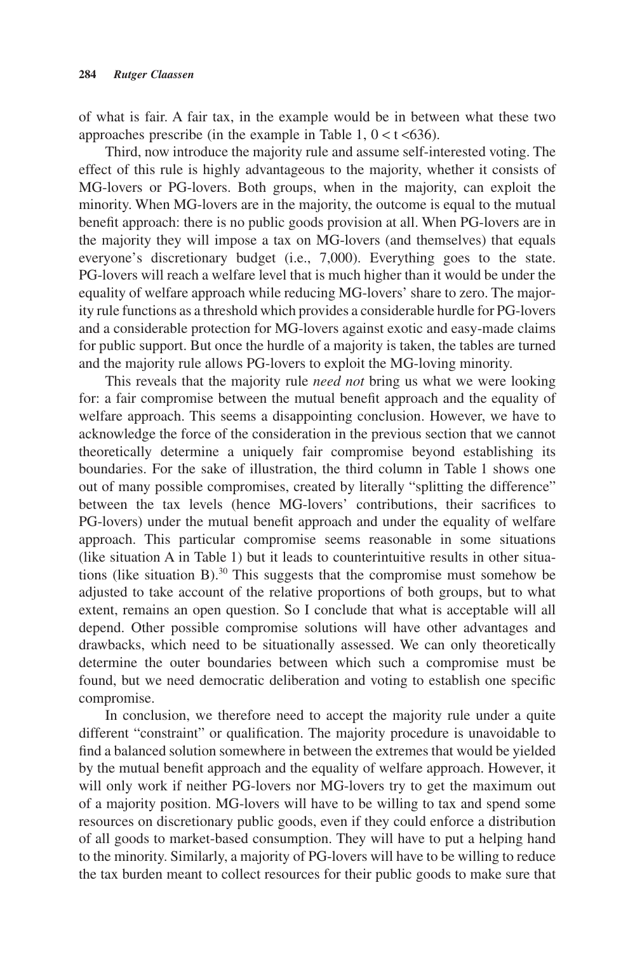of what is fair. A fair tax, in the example would be in between what these two approaches prescribe (in the example in Table 1,  $0 < t < 636$ ).

Third, now introduce the majority rule and assume self-interested voting. The effect of this rule is highly advantageous to the majority, whether it consists of MG-lovers or PG-lovers. Both groups, when in the majority, can exploit the minority. When MG-lovers are in the majority, the outcome is equal to the mutual benefit approach: there is no public goods provision at all. When PG-lovers are in the majority they will impose a tax on MG-lovers (and themselves) that equals everyone's discretionary budget (i.e., 7,000). Everything goes to the state. PG-lovers will reach a welfare level that is much higher than it would be under the equality of welfare approach while reducing MG-lovers' share to zero. The majority rule functions as a threshold which provides a considerable hurdle for PG-lovers and a considerable protection for MG-lovers against exotic and easy-made claims for public support. But once the hurdle of a majority is taken, the tables are turned and the majority rule allows PG-lovers to exploit the MG-loving minority.

This reveals that the majority rule *need not* bring us what we were looking for: a fair compromise between the mutual benefit approach and the equality of welfare approach. This seems a disappointing conclusion. However, we have to acknowledge the force of the consideration in the previous section that we cannot theoretically determine a uniquely fair compromise beyond establishing its boundaries. For the sake of illustration, the third column in Table 1 shows one out of many possible compromises, created by literally "splitting the difference" between the tax levels (hence MG-lovers' contributions, their sacrifices to PG-lovers) under the mutual benefit approach and under the equality of welfare approach. This particular compromise seems reasonable in some situations (like situation A in Table 1) but it leads to counterintuitive results in other situations (like situation B).30 This suggests that the compromise must somehow be adjusted to take account of the relative proportions of both groups, but to what extent, remains an open question. So I conclude that what is acceptable will all depend. Other possible compromise solutions will have other advantages and drawbacks, which need to be situationally assessed. We can only theoretically determine the outer boundaries between which such a compromise must be found, but we need democratic deliberation and voting to establish one specific compromise.

In conclusion, we therefore need to accept the majority rule under a quite different "constraint" or qualification. The majority procedure is unavoidable to find a balanced solution somewhere in between the extremes that would be yielded by the mutual benefit approach and the equality of welfare approach. However, it will only work if neither PG-lovers nor MG-lovers try to get the maximum out of a majority position. MG-lovers will have to be willing to tax and spend some resources on discretionary public goods, even if they could enforce a distribution of all goods to market-based consumption. They will have to put a helping hand to the minority. Similarly, a majority of PG-lovers will have to be willing to reduce the tax burden meant to collect resources for their public goods to make sure that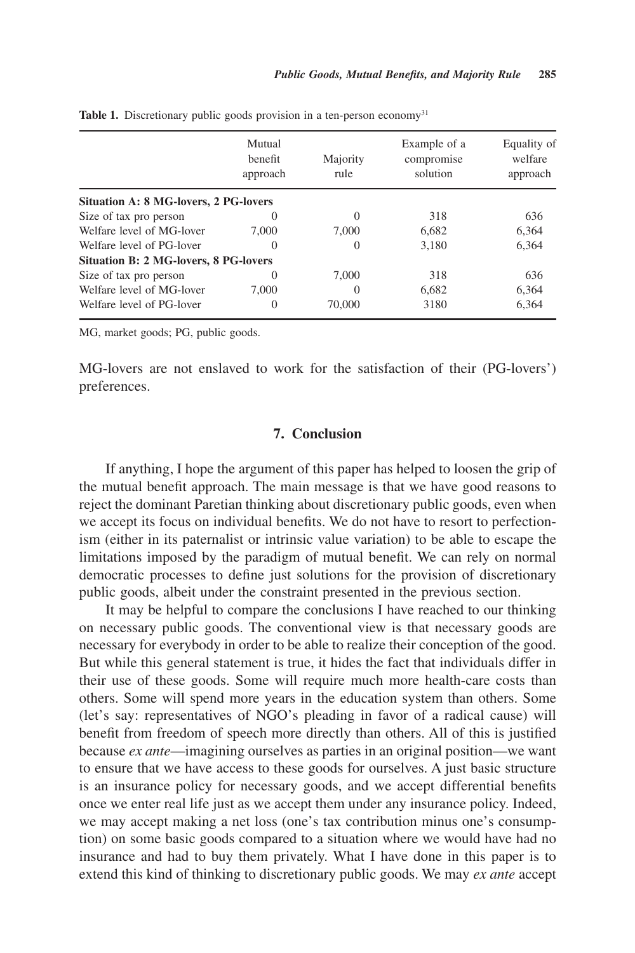|                                              | Mutual<br><b>benefit</b><br>approach | Majority<br>rule | Example of a<br>compromise<br>solution | Equality of<br>welfare<br>approach |
|----------------------------------------------|--------------------------------------|------------------|----------------------------------------|------------------------------------|
| <b>Situation A: 8 MG-lovers, 2 PG-lovers</b> |                                      |                  |                                        |                                    |
| Size of tax pro person                       | $\Omega$                             | $\Omega$         | 318                                    | 636                                |
| Welfare level of MG-lover                    | 7.000                                | 7.000            | 6,682                                  | 6,364                              |
| Welfare level of PG-lover                    | $\Omega$                             | $\Omega$         | 3,180                                  | 6.364                              |
| <b>Situation B: 2 MG-lovers, 8 PG-lovers</b> |                                      |                  |                                        |                                    |
| Size of tax pro person                       | $\theta$                             | 7.000            | 318                                    | 636                                |
| Welfare level of MG-lover                    | 7.000                                | $\Omega$         | 6,682                                  | 6.364                              |
| Welfare level of PG-lover                    | $\theta$                             | 70,000           | 3180                                   | 6,364                              |

Table 1. Discretionary public goods provision in a ten-person economy<sup>31</sup>

MG, market goods; PG, public goods.

MG-lovers are not enslaved to work for the satisfaction of their (PG-lovers') preferences.

# **7. Conclusion**

If anything, I hope the argument of this paper has helped to loosen the grip of the mutual benefit approach. The main message is that we have good reasons to reject the dominant Paretian thinking about discretionary public goods, even when we accept its focus on individual benefits. We do not have to resort to perfectionism (either in its paternalist or intrinsic value variation) to be able to escape the limitations imposed by the paradigm of mutual benefit. We can rely on normal democratic processes to define just solutions for the provision of discretionary public goods, albeit under the constraint presented in the previous section.

It may be helpful to compare the conclusions I have reached to our thinking on necessary public goods. The conventional view is that necessary goods are necessary for everybody in order to be able to realize their conception of the good. But while this general statement is true, it hides the fact that individuals differ in their use of these goods. Some will require much more health-care costs than others. Some will spend more years in the education system than others. Some (let's say: representatives of NGO's pleading in favor of a radical cause) will benefit from freedom of speech more directly than others. All of this is justified because *ex ante*—imagining ourselves as parties in an original position—we want to ensure that we have access to these goods for ourselves. A just basic structure is an insurance policy for necessary goods, and we accept differential benefits once we enter real life just as we accept them under any insurance policy. Indeed, we may accept making a net loss (one's tax contribution minus one's consumption) on some basic goods compared to a situation where we would have had no insurance and had to buy them privately. What I have done in this paper is to extend this kind of thinking to discretionary public goods. We may *ex ante* accept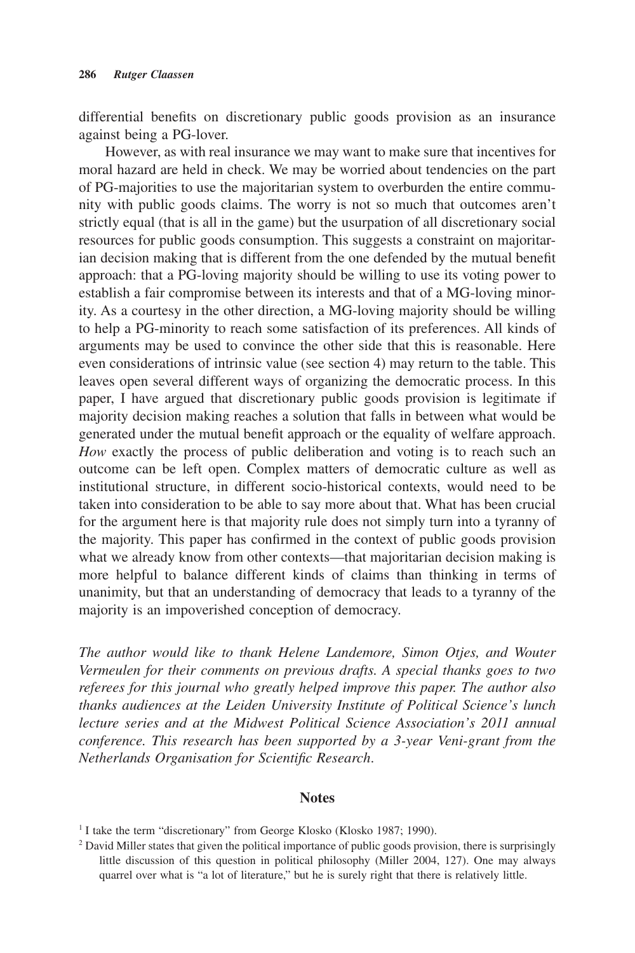differential benefits on discretionary public goods provision as an insurance against being a PG-lover.

However, as with real insurance we may want to make sure that incentives for moral hazard are held in check. We may be worried about tendencies on the part of PG-majorities to use the majoritarian system to overburden the entire community with public goods claims. The worry is not so much that outcomes aren't strictly equal (that is all in the game) but the usurpation of all discretionary social resources for public goods consumption. This suggests a constraint on majoritarian decision making that is different from the one defended by the mutual benefit approach: that a PG-loving majority should be willing to use its voting power to establish a fair compromise between its interests and that of a MG-loving minority. As a courtesy in the other direction, a MG-loving majority should be willing to help a PG-minority to reach some satisfaction of its preferences. All kinds of arguments may be used to convince the other side that this is reasonable. Here even considerations of intrinsic value (see section 4) may return to the table. This leaves open several different ways of organizing the democratic process. In this paper, I have argued that discretionary public goods provision is legitimate if majority decision making reaches a solution that falls in between what would be generated under the mutual benefit approach or the equality of welfare approach. *How* exactly the process of public deliberation and voting is to reach such an outcome can be left open. Complex matters of democratic culture as well as institutional structure, in different socio-historical contexts, would need to be taken into consideration to be able to say more about that. What has been crucial for the argument here is that majority rule does not simply turn into a tyranny of the majority. This paper has confirmed in the context of public goods provision what we already know from other contexts—that majoritarian decision making is more helpful to balance different kinds of claims than thinking in terms of unanimity, but that an understanding of democracy that leads to a tyranny of the majority is an impoverished conception of democracy.

*The author would like to thank Helene Landemore, Simon Otjes, and Wouter Vermeulen for their comments on previous drafts. A special thanks goes to two referees for this journal who greatly helped improve this paper. The author also thanks audiences at the Leiden University Institute of Political Science's lunch lecture series and at the Midwest Political Science Association's 2011 annual conference. This research has been supported by a 3-year Veni-grant from the Netherlands Organisation for Scientific Research*.

#### **Notes**

<sup>&</sup>lt;sup>1</sup> I take the term "discretionary" from George Klosko (Klosko 1987; 1990).

<sup>&</sup>lt;sup>2</sup> David Miller states that given the political importance of public goods provision, there is surprisingly little discussion of this question in political philosophy (Miller 2004, 127). One may always quarrel over what is "a lot of literature," but he is surely right that there is relatively little.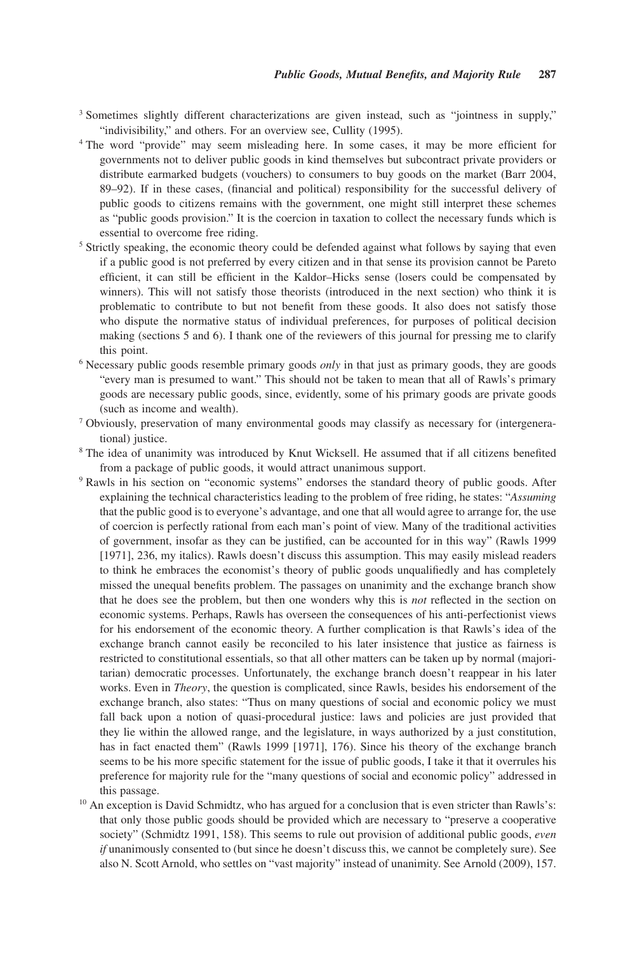- <sup>3</sup> Sometimes slightly different characterizations are given instead, such as "jointness in supply," "indivisibility," and others. For an overview see, Cullity (1995).
- <sup>4</sup> The word "provide" may seem misleading here. In some cases, it may be more efficient for governments not to deliver public goods in kind themselves but subcontract private providers or distribute earmarked budgets (vouchers) to consumers to buy goods on the market (Barr 2004, 89–92). If in these cases, (financial and political) responsibility for the successful delivery of public goods to citizens remains with the government, one might still interpret these schemes as "public goods provision." It is the coercion in taxation to collect the necessary funds which is essential to overcome free riding.
- <sup>5</sup> Strictly speaking, the economic theory could be defended against what follows by saying that even if a public good is not preferred by every citizen and in that sense its provision cannot be Pareto efficient, it can still be efficient in the Kaldor–Hicks sense (losers could be compensated by winners). This will not satisfy those theorists (introduced in the next section) who think it is problematic to contribute to but not benefit from these goods. It also does not satisfy those who dispute the normative status of individual preferences, for purposes of political decision making (sections 5 and 6). I thank one of the reviewers of this journal for pressing me to clarify this point.
- <sup>6</sup> Necessary public goods resemble primary goods *only* in that just as primary goods, they are goods "every man is presumed to want." This should not be taken to mean that all of Rawls's primary goods are necessary public goods, since, evidently, some of his primary goods are private goods (such as income and wealth).
- <sup>7</sup> Obviously, preservation of many environmental goods may classify as necessary for (intergenerational) justice.
- <sup>8</sup> The idea of unanimity was introduced by Knut Wicksell. He assumed that if all citizens benefited from a package of public goods, it would attract unanimous support.
- <sup>9</sup> Rawls in his section on "economic systems" endorses the standard theory of public goods. After explaining the technical characteristics leading to the problem of free riding, he states: "*Assuming* that the public good is to everyone's advantage, and one that all would agree to arrange for, the use of coercion is perfectly rational from each man's point of view. Many of the traditional activities of government, insofar as they can be justified, can be accounted for in this way" (Rawls 1999 [1971], 236, my italics). Rawls doesn't discuss this assumption. This may easily mislead readers to think he embraces the economist's theory of public goods unqualifiedly and has completely missed the unequal benefits problem. The passages on unanimity and the exchange branch show that he does see the problem, but then one wonders why this is *not* reflected in the section on economic systems. Perhaps, Rawls has overseen the consequences of his anti-perfectionist views for his endorsement of the economic theory. A further complication is that Rawls's idea of the exchange branch cannot easily be reconciled to his later insistence that justice as fairness is restricted to constitutional essentials, so that all other matters can be taken up by normal (majoritarian) democratic processes. Unfortunately, the exchange branch doesn't reappear in his later works. Even in *Theory*, the question is complicated, since Rawls, besides his endorsement of the exchange branch, also states: "Thus on many questions of social and economic policy we must fall back upon a notion of quasi-procedural justice: laws and policies are just provided that they lie within the allowed range, and the legislature, in ways authorized by a just constitution, has in fact enacted them" (Rawls 1999 [1971], 176). Since his theory of the exchange branch seems to be his more specific statement for the issue of public goods, I take it that it overrules his preference for majority rule for the "many questions of social and economic policy" addressed in this passage.
- <sup>10</sup> An exception is David Schmidtz, who has argued for a conclusion that is even stricter than Rawls's: that only those public goods should be provided which are necessary to "preserve a cooperative society" (Schmidtz 1991, 158). This seems to rule out provision of additional public goods, *even if* unanimously consented to (but since he doesn't discuss this, we cannot be completely sure). See also N. Scott Arnold, who settles on "vast majority" instead of unanimity. See Arnold (2009), 157.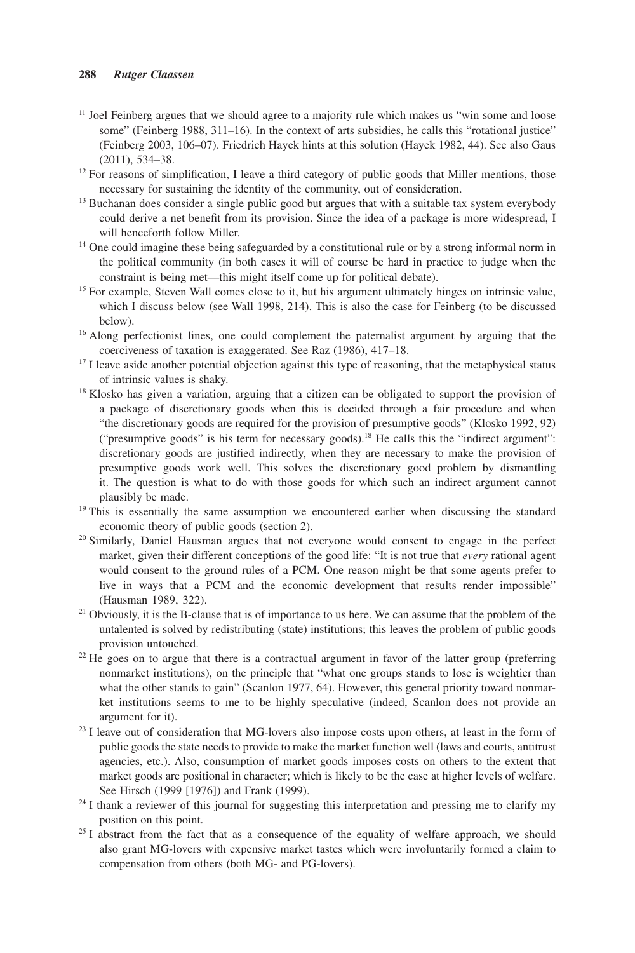- $11$  Joel Feinberg argues that we should agree to a majority rule which makes us "win some and loose some" (Feinberg 1988, 311–16). In the context of arts subsidies, he calls this "rotational justice" (Feinberg 2003, 106–07). Friedrich Hayek hints at this solution (Hayek 1982, 44). See also Gaus (2011), 534–38.
- $12$  For reasons of simplification, I leave a third category of public goods that Miller mentions, those necessary for sustaining the identity of the community, out of consideration.
- <sup>13</sup> Buchanan does consider a single public good but argues that with a suitable tax system everybody could derive a net benefit from its provision. Since the idea of a package is more widespread, I will henceforth follow Miller.
- <sup>14</sup> One could imagine these being safeguarded by a constitutional rule or by a strong informal norm in the political community (in both cases it will of course be hard in practice to judge when the constraint is being met—this might itself come up for political debate).
- <sup>15</sup> For example, Steven Wall comes close to it, but his argument ultimately hinges on intrinsic value, which I discuss below (see Wall 1998, 214). This is also the case for Feinberg (to be discussed below).
- <sup>16</sup> Along perfectionist lines, one could complement the paternalist argument by arguing that the coerciveness of taxation is exaggerated. See Raz (1986), 417–18.
- $17$  I leave aside another potential objection against this type of reasoning, that the metaphysical status of intrinsic values is shaky.
- <sup>18</sup> Klosko has given a variation, arguing that a citizen can be obligated to support the provision of a package of discretionary goods when this is decided through a fair procedure and when "the discretionary goods are required for the provision of presumptive goods" (Klosko 1992, 92) ("presumptive goods" is his term for necessary goods).18 He calls this the "indirect argument": discretionary goods are justified indirectly, when they are necessary to make the provision of presumptive goods work well. This solves the discretionary good problem by dismantling it. The question is what to do with those goods for which such an indirect argument cannot plausibly be made.
- <sup>19</sup> This is essentially the same assumption we encountered earlier when discussing the standard economic theory of public goods (section 2).
- $20$  Similarly, Daniel Hausman argues that not everyone would consent to engage in the perfect market, given their different conceptions of the good life: "It is not true that *every* rational agent would consent to the ground rules of a PCM. One reason might be that some agents prefer to live in ways that a PCM and the economic development that results render impossible" (Hausman 1989, 322).
- <sup>21</sup> Obviously, it is the B-clause that is of importance to us here. We can assume that the problem of the untalented is solved by redistributing (state) institutions; this leaves the problem of public goods provision untouched.
- $^{22}$  He goes on to argue that there is a contractual argument in favor of the latter group (preferring nonmarket institutions), on the principle that "what one groups stands to lose is weightier than what the other stands to gain" (Scanlon 1977, 64). However, this general priority toward nonmarket institutions seems to me to be highly speculative (indeed, Scanlon does not provide an argument for it).
- <sup>23</sup> I leave out of consideration that MG-lovers also impose costs upon others, at least in the form of public goods the state needs to provide to make the market function well (laws and courts, antitrust agencies, etc.). Also, consumption of market goods imposes costs on others to the extent that market goods are positional in character; which is likely to be the case at higher levels of welfare. See Hirsch (1999 [1976]) and Frank (1999).
- <sup>24</sup> I thank a reviewer of this journal for suggesting this interpretation and pressing me to clarify my position on this point.
- $25$  I abstract from the fact that as a consequence of the equality of welfare approach, we should also grant MG-lovers with expensive market tastes which were involuntarily formed a claim to compensation from others (both MG- and PG-lovers).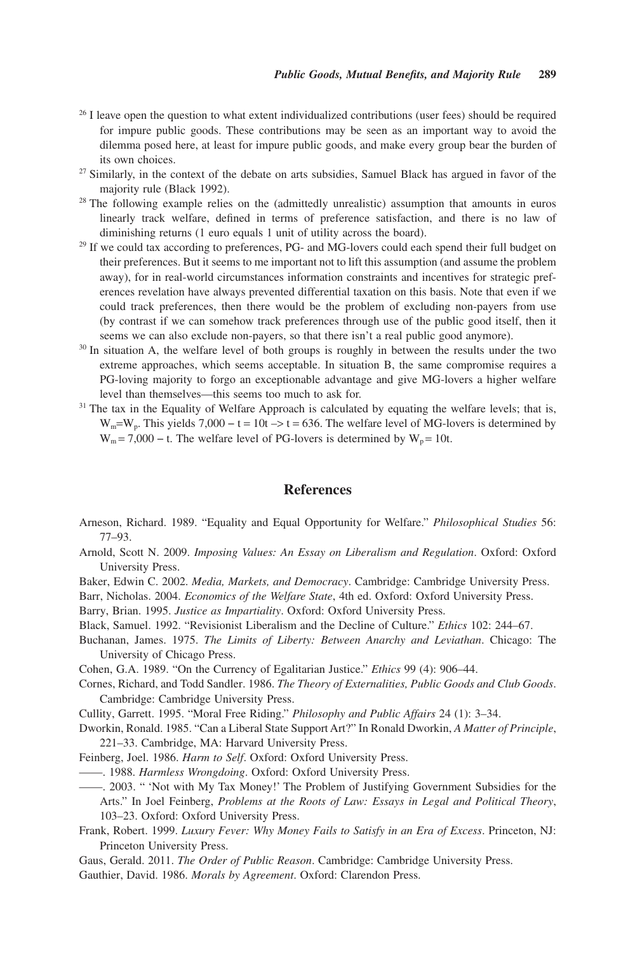- $^{26}$  I leave open the question to what extent individualized contributions (user fees) should be required for impure public goods. These contributions may be seen as an important way to avoid the dilemma posed here, at least for impure public goods, and make every group bear the burden of its own choices.
- $27$  Similarly, in the context of the debate on arts subsidies, Samuel Black has argued in favor of the majority rule (Black 1992).
- $28$  The following example relies on the (admittedly unrealistic) assumption that amounts in euros linearly track welfare, defined in terms of preference satisfaction, and there is no law of diminishing returns (1 euro equals 1 unit of utility across the board).
- $29$  If we could tax according to preferences, PG- and MG-lovers could each spend their full budget on their preferences. But it seems to me important not to lift this assumption (and assume the problem away), for in real-world circumstances information constraints and incentives for strategic preferences revelation have always prevented differential taxation on this basis. Note that even if we could track preferences, then there would be the problem of excluding non-payers from use (by contrast if we can somehow track preferences through use of the public good itself, then it seems we can also exclude non-payers, so that there isn't a real public good anymore).
- <sup>30</sup> In situation A, the welfare level of both groups is roughly in between the results under the two extreme approaches, which seems acceptable. In situation B, the same compromise requires a PG-loving majority to forgo an exceptionable advantage and give MG-lovers a higher welfare level than themselves—this seems too much to ask for.
- <sup>31</sup> The tax in the Equality of Welfare Approach is calculated by equating the welfare levels; that is, W<sub>m</sub>=W<sub>p</sub>. This yields 7,000 – t = 10t –> t = 636. The welfare level of MG-lovers is determined by  $W_m = 7,000 - t$ . The welfare level of PG-lovers is determined by  $W_n = 10t$ .

## **References**

- Arneson, Richard. 1989. "Equality and Equal Opportunity for Welfare." *Philosophical Studies* 56: 77–93.
- Arnold, Scott N. 2009. *Imposing Values: An Essay on Liberalism and Regulation*. Oxford: Oxford University Press.
- Baker, Edwin C. 2002. *Media, Markets, and Democracy*. Cambridge: Cambridge University Press.
- Barr, Nicholas. 2004. *Economics of the Welfare State*, 4th ed. Oxford: Oxford University Press.

Barry, Brian. 1995. *Justice as Impartiality*. Oxford: Oxford University Press.

- Black, Samuel. 1992. "Revisionist Liberalism and the Decline of Culture." *Ethics* 102: 244–67.
- Buchanan, James. 1975. *The Limits of Liberty: Between Anarchy and Leviathan*. Chicago: The University of Chicago Press.
- Cohen, G.A. 1989. "On the Currency of Egalitarian Justice." *Ethics* 99 (4): 906–44.
- Cornes, Richard, and Todd Sandler. 1986. *The Theory of Externalities, Public Goods and Club Goods*. Cambridge: Cambridge University Press.
- Cullity, Garrett. 1995. "Moral Free Riding." *Philosophy and Public Affairs* 24 (1): 3–34.
- Dworkin, Ronald. 1985. "Can a Liberal State Support Art?" In Ronald Dworkin, *A Matter of Principle*, 221–33. Cambridge, MA: Harvard University Press.
- Feinberg, Joel. 1986. *Harm to Self*. Oxford: Oxford University Press.
	- ——. 1988. *Harmless Wrongdoing*. Oxford: Oxford University Press.
- ——. 2003. " 'Not with My Tax Money!' The Problem of Justifying Government Subsidies for the Arts." In Joel Feinberg, *Problems at the Roots of Law: Essays in Legal and Political Theory*, 103–23. Oxford: Oxford University Press.
- Frank, Robert. 1999. *Luxury Fever: Why Money Fails to Satisfy in an Era of Excess*. Princeton, NJ: Princeton University Press.
- Gaus, Gerald. 2011. *The Order of Public Reason*. Cambridge: Cambridge University Press.
- Gauthier, David. 1986. *Morals by Agreement*. Oxford: Clarendon Press.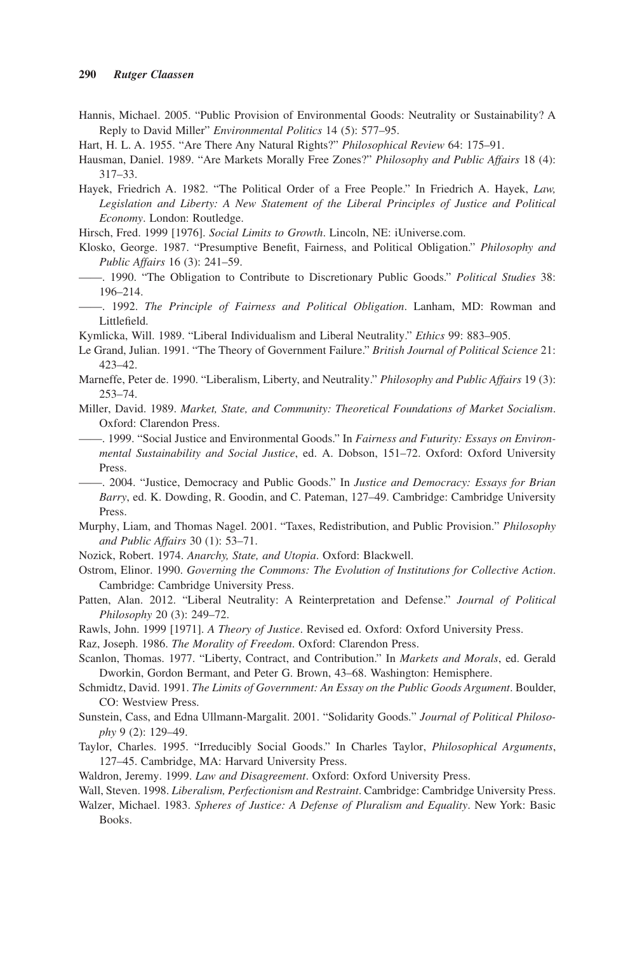- Hannis, Michael. 2005. "Public Provision of Environmental Goods: Neutrality or Sustainability? A Reply to David Miller" *Environmental Politics* 14 (5): 577–95.
- Hart, H. L. A. 1955. "Are There Any Natural Rights?" *Philosophical Review* 64: 175–91.
- Hausman, Daniel. 1989. "Are Markets Morally Free Zones?" *Philosophy and Public Affairs* 18 (4): 317–33.
- Hayek, Friedrich A. 1982. "The Political Order of a Free People." In Friedrich A. Hayek, *Law, Legislation and Liberty: A New Statement of the Liberal Principles of Justice and Political Economy*. London: Routledge.
- Hirsch, Fred. 1999 [1976]. *Social Limits to Growth*. Lincoln, NE: iUniverse.com.
- Klosko, George. 1987. "Presumptive Benefit, Fairness, and Political Obligation." *Philosophy and Public Affairs* 16 (3): 241–59.
- ——. 1990. "The Obligation to Contribute to Discretionary Public Goods." *Political Studies* 38: 196–214.
- ——. 1992. *The Principle of Fairness and Political Obligation*. Lanham, MD: Rowman and Littlefield.
- Kymlicka, Will. 1989. "Liberal Individualism and Liberal Neutrality." *Ethics* 99: 883–905.
- Le Grand, Julian. 1991. "The Theory of Government Failure." *British Journal of Political Science* 21: 423–42.
- Marneffe, Peter de. 1990. "Liberalism, Liberty, and Neutrality." *Philosophy and Public Affairs* 19 (3): 253–74.
- Miller, David. 1989. *Market, State, and Community: Theoretical Foundations of Market Socialism*. Oxford: Clarendon Press.
- ——. 1999. "Social Justice and Environmental Goods." In *Fairness and Futurity: Essays on Environmental Sustainability and Social Justice*, ed. A. Dobson, 151–72. Oxford: Oxford University Press.
- ——. 2004. "Justice, Democracy and Public Goods." In *Justice and Democracy: Essays for Brian Barry*, ed. K. Dowding, R. Goodin, and C. Pateman, 127–49. Cambridge: Cambridge University Press.
- Murphy, Liam, and Thomas Nagel. 2001. "Taxes, Redistribution, and Public Provision." *Philosophy and Public Affairs* 30 (1): 53–71.
- Nozick, Robert. 1974. *Anarchy, State, and Utopia*. Oxford: Blackwell.
- Ostrom, Elinor. 1990. *Governing the Commons: The Evolution of Institutions for Collective Action*. Cambridge: Cambridge University Press.
- Patten, Alan. 2012. "Liberal Neutrality: A Reinterpretation and Defense." *Journal of Political Philosophy* 20 (3): 249–72.
- Rawls, John. 1999 [1971]. *A Theory of Justice*. Revised ed. Oxford: Oxford University Press.
- Raz, Joseph. 1986. *The Morality of Freedom*. Oxford: Clarendon Press.
- Scanlon, Thomas. 1977. "Liberty, Contract, and Contribution." In *Markets and Morals*, ed. Gerald Dworkin, Gordon Bermant, and Peter G. Brown, 43–68. Washington: Hemisphere.
- Schmidtz, David. 1991. *The Limits of Government: An Essay on the Public Goods Argument*. Boulder, CO: Westview Press.
- Sunstein, Cass, and Edna Ullmann-Margalit. 2001. "Solidarity Goods." *Journal of Political Philosophy* 9 (2): 129–49.
- Taylor, Charles. 1995. "Irreducibly Social Goods." In Charles Taylor, *Philosophical Arguments*, 127–45. Cambridge, MA: Harvard University Press.
- Waldron, Jeremy. 1999. *Law and Disagreement*. Oxford: Oxford University Press.
- Wall, Steven. 1998. *Liberalism, Perfectionism and Restraint*. Cambridge: Cambridge University Press.
- Walzer, Michael. 1983. *Spheres of Justice: A Defense of Pluralism and Equality*. New York: Basic Books.